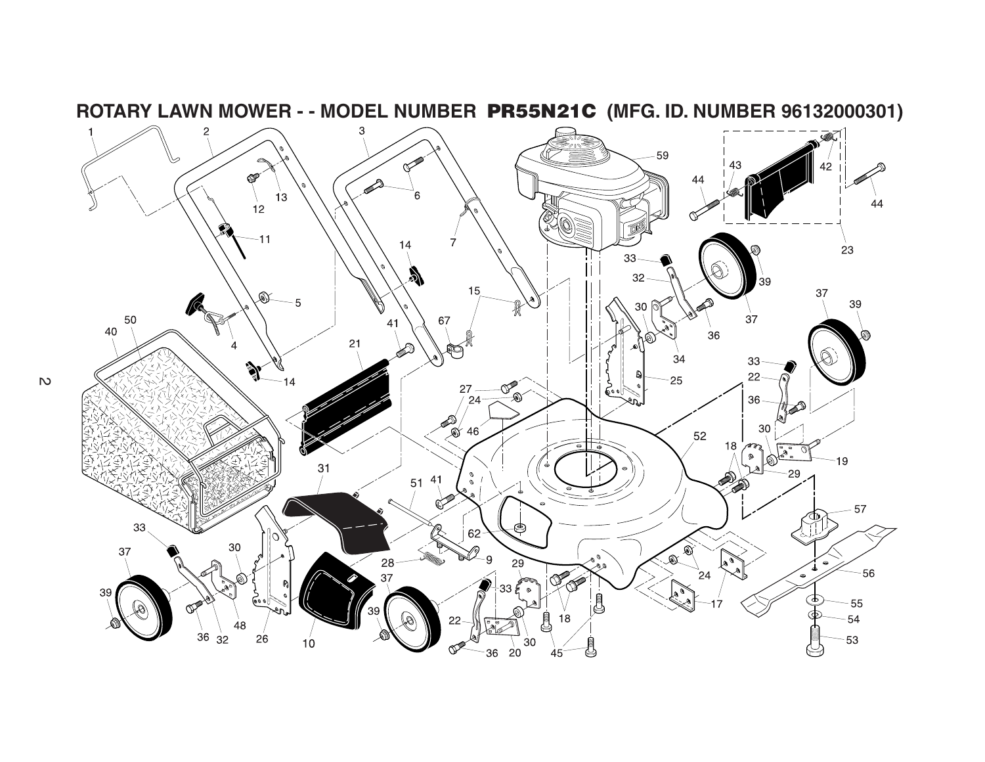

**ROTARY LAWN MOWER - - MODEL NUMBER PR55N21C (MFG. ID. NUMBER 96132000301)**